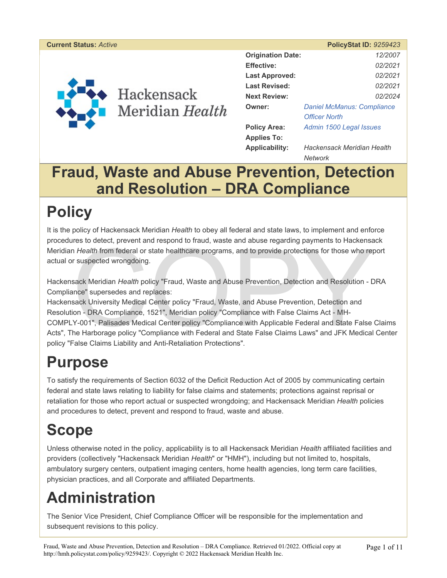#### **Current Status:** *Active* **PolicyStat ID:** *9259423*



Hackensack Meridian Health

| 12/2007                               |  |
|---------------------------------------|--|
| 02/2021                               |  |
| 02/2021                               |  |
| 02/2021                               |  |
| 02/2024                               |  |
| <b>Daniel McManus: Compliance</b>     |  |
| <b>Officer North</b>                  |  |
| Admin 1500 Legal Issues               |  |
|                                       |  |
| Hackensack Meridian Health<br>Network |  |
|                                       |  |

## **Fraud, Waste and Abuse Prevention, Detection and Resolution – DRA Compliance**

## **Policy**

It is the policy of Hackensack Meridian *Health* to obey all federal and state laws, to implement and enforce procedures to detect, prevent and respond to fraud, waste and abuse regarding payments to Hackensack Meridian *Health* from federal or state healthcare programs, and to provide protections for those who report actual or suspected wrongdoing.

Hackensack Meridian *Health* policy "Fraud, Waste and Abuse Prevention, Detection and Resolution - DRA Compliance" supersedes and replaces:

res to detect, prevent and respond to fraud, waste and abuse regarding payments to Hackensa<br>
I Health from federal or state healthcare programs, and to provide protections for those who rep<br>
r suspected wrongdoing.<br>
sack M Hackensack University Medical Center policy "Fraud, Waste, and Abuse Prevention, Detection and Resolution - DRA Compliance, 1521", Meridian policy "Compliance with False Claims Act - MH-COMPLY-001", Palisades Medical Center policy "Compliance with Applicable Federal and State False Claims Acts", The Harborage policy "Compliance with Federal and State False Claims Laws" and JFK Medical Center policy "False Claims Liability and Anti-Retaliation Protections".

# **Purpose**

To satisfy the requirements of Section 6032 of the Deficit Reduction Act of 2005 by communicating certain federal and state laws relating to liability for false claims and statements; protections against reprisal or retaliation for those who report actual or suspected wrongdoing; and Hackensack Meridian *Health* policies and procedures to detect, prevent and respond to fraud, waste and abuse.

# **Scope**

Unless otherwise noted in the policy, applicability is to all Hackensack Meridian *Health* affiliated facilities and providers (collectively "Hackensack Meridian *Health*" or "HMH"), including but not limited to, hospitals, ambulatory surgery centers, outpatient imaging centers, home health agencies, long term care facilities, physician practices, and all Corporate and affiliated Departments.

# **Administration**

The Senior Vice President, Chief Compliance Officer will be responsible for the implementation and subsequent revisions to this policy.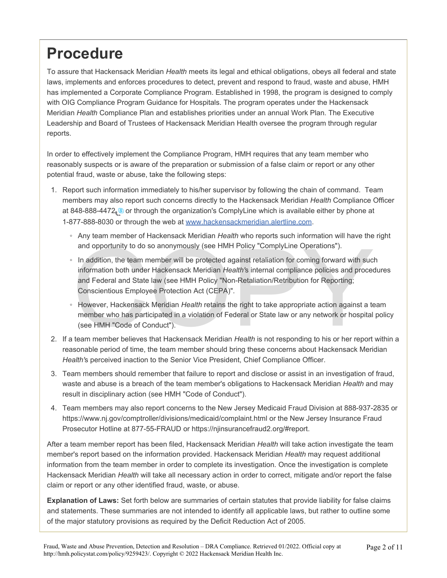## **Procedure**

To assure that Hackensack Meridian *Health* meets its legal and ethical obligations, obeys all federal and state laws, implements and enforces procedures to detect, prevent and respond to fraud, waste and abuse, HMH has implemented a Corporate Compliance Program. Established in 1998, the program is designed to comply with OIG Compliance Program Guidance for Hospitals. The program operates under the Hackensack Meridian *Health* Compliance Plan and establishes priorities under an annual Work Plan. The Executive Leadership and Board of Trustees of Hackensack Meridian Health oversee the program through regular reports.

In order to effectively implement the Compliance Program, HMH requires that any team member who reasonably suspects or is aware of the preparation or submission of a false claim or report or any other potential fraud, waste or abuse, take the following steps:

- 1. Report such information immediately to his/her supervisor by following the chain of command. Team members may also report such concerns directly to the Hackensack Meridian *Health* Compliance Officer at 848-888-4472 s or through the organization's ComplyLine which is available either by phone at 1-877-888-8030 or through the web at www.hackensackmeridian.alertline.com.
	- Any team member of Hackensack Meridian *Health* who reports such information will have the right and opportunity to do so anonymously (see HMH Policy "ComplyLine Operations").
	- and opportunity to do so anonymously (see HMH Policy "ComplyLine Operations").<br>
	In addition, the team member will be protected against retaliation for coming forward with suc<br>
	information both under Hackensack Meridian *He* ◦ In addition, the team member will be protected against retaliation for coming forward with such information both under Hackensack Meridian *Health'*s internal compliance policies and procedures and Federal and State law (see HMH Policy "Non-Retaliation/Retribution for Reporting; Conscientious Employee Protection Act (CEPA)".
	- However, Hackensack Meridian *Health* retains the right to take appropriate action against a team member who has participated in a violation of Federal or State law or any network or hospital policy (see HMH "Code of Conduct").
- 2. If a team member believes that Hackensack Meridian *Health* is not responding to his or her report within a reasonable period of time, the team member should bring these concerns about Hackensack Meridian *Health'*s perceived inaction to the Senior Vice President, Chief Compliance Officer.
- 3. Team members should remember that failure to report and disclose or assist in an investigation of fraud, waste and abuse is a breach of the team member's obligations to Hackensack Meridian *Health* and may result in disciplinary action (see HMH "Code of Conduct").
- 4. Team members may also report concerns to the New Jersey Medicaid Fraud Division at 888-937-2835 or https://www.nj.gov/comptroller/divisions/medicaid/complaint.html or the New Jersey Insurance Fraud Prosecutor Hotline at 877-55-FRAUD or https://njinsurancefraud2.org/#report.

After a team member report has been filed, Hackensack Meridian *Health* will take action investigate the team member's report based on the information provided. Hackensack Meridian *Health* may request additional information from the team member in order to complete its investigation. Once the investigation is complete Hackensack Meridian *Health* will take all necessary action in order to correct, mitigate and/or report the false claim or report or any other identified fraud, waste, or abuse.

**Explanation of Laws:** Set forth below are summaries of certain statutes that provide liability for false claims and statements. These summaries are not intended to identify all applicable laws, but rather to outline some of the major statutory provisions as required by the Deficit Reduction Act of 2005.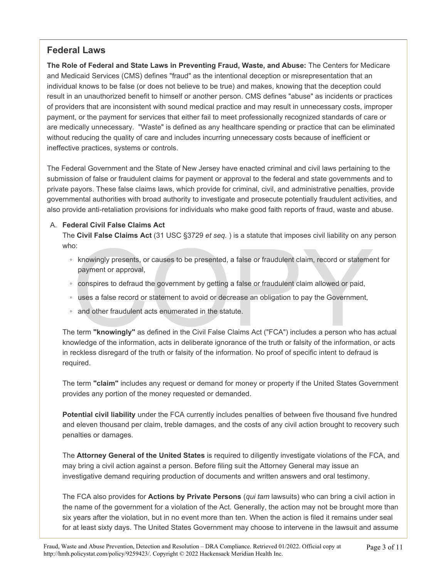### **Federal Laws**

**The Role of Federal and State Laws in Preventing Fraud, Waste, and Abuse:** The Centers for Medicare and Medicaid Services (CMS) defines "fraud" as the intentional deception or misrepresentation that an individual knows to be false (or does not believe to be true) and makes, knowing that the deception could result in an unauthorized benefit to himself or another person. CMS defines "abuse" as incidents or practices of providers that are inconsistent with sound medical practice and may result in unnecessary costs, improper payment, or the payment for services that either fail to meet professionally recognized standards of care or are medically unnecessary. "Waste" is defined as any healthcare spending or practice that can be eliminated without reducing the quality of care and includes incurring unnecessary costs because of inefficient or ineffective practices, systems or controls.

The Federal Government and the State of New Jersey have enacted criminal and civil laws pertaining to the submission of false or fraudulent claims for payment or approval to the federal and state governments and to private payors. These false claims laws, which provide for criminal, civil, and administrative penalties, provide governmental authorities with broad authority to investigate and prosecute potentially fraudulent activities, and also provide anti-retaliation provisions for individuals who make good faith reports of fraud, waste and abuse.

#### A. **Federal Civil False Claims Act**

The **Civil False Claims Act** (31 USC §3729 *et seq.* ) is a statute that imposes civil liability on any person who:

- o:<br>
knowingly presents, or causes to be presented, a false or fraudulent claim, record or statemer<br>
payment or approval,<br>
conspires to defraud the government by getting a false or fraudulent claim allowed or paid,<br>
uses a ◦ knowingly presents, or causes to be presented, a false or fraudulent claim, record or statement for payment or approval,
- conspires to defraud the government by getting a false or fraudulent claim allowed or paid,
- uses a false record or statement to avoid or decrease an obligation to pay the Government,
- and other fraudulent acts enumerated in the statute.

The term **"knowingly"** as defined in the Civil False Claims Act ("FCA") includes a person who has actual knowledge of the information, acts in deliberate ignorance of the truth or falsity of the information, or acts in reckless disregard of the truth or falsity of the information. No proof of specific intent to defraud is required.

The term **"claim"** includes any request or demand for money or property if the United States Government provides any portion of the money requested or demanded.

**Potential civil liability** under the FCA currently includes penalties of between five thousand five hundred and eleven thousand per claim, treble damages, and the costs of any civil action brought to recovery such penalties or damages.

The **Attorney General of the United States** is required to diligently investigate violations of the FCA, and may bring a civil action against a person. Before filing suit the Attorney General may issue an investigative demand requiring production of documents and written answers and oral testimony.

The FCA also provides for **Actions by Private Persons** (*qui tam* lawsuits) who can bring a civil action in the name of the government for a violation of the Act. Generally, the action may not be brought more than six years after the violation, but in no event more than ten. When the action is filed it remains under seal for at least sixty days. The United States Government may choose to intervene in the lawsuit and assume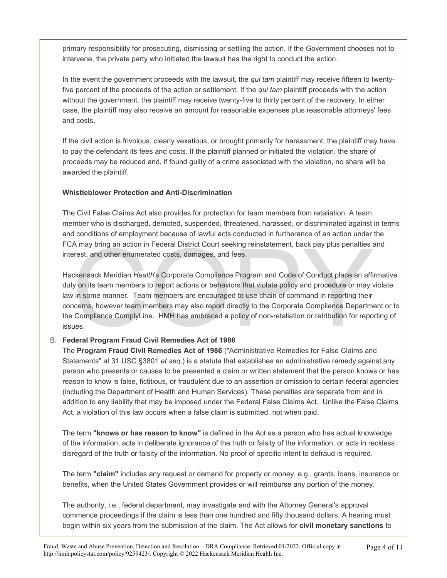primary responsibility for prosecuting, dismissing or settling the action. If the Government chooses not to intervene, the private party who initiated the lawsuit has the right to conduct the action.

In the event the government proceeds with the lawsuit, the *qui tam* plaintiff may receive fifteen to twentyfive percent of the proceeds of the action or settlement. If the *qui tam* plaintiff proceeds with the action without the government, the plaintiff may receive twenty-five to thirty percent of the recovery. In either case, the plaintiff may also receive an amount for reasonable expenses plus reasonable attorneys' fees and costs.

If the civil action is frivolous, clearly vexatious, or brought primarily for harassment, the plaintiff may have to pay the defendant its fees and costs. If the plaintiff planned or initiated the violation, the share of proceeds may be reduced and, if found guilty of a crime associated with the violation, no share will be awarded the plaintiff.

#### **Whistleblower Protection and Anti-Discrimination**

The Civil False Claims Act also provides for protection for team members from retaliation. A team member who is discharged, demoted, suspended, threatened, harassed, or discriminated against in terms and conditions of employment because of lawful acts conducted in furtherance of an action under the FCA may bring an action in Federal District Court seeking reinstatement, back pay plus penalties and interest, and other enumerated costs, damages, and fees.

A may bring an action in Federal District Court seeking reinstatement, back pay plus penalties arest, and other enumerated costs, damages, and fees.<br>
ckensack Meridian *Health's* Corporate Compliance Program and Code of Co Hackensack Meridian *Health*'s Corporate Compliance Program and Code of Conduct place an affirmative duty on its team members to report actions or behaviors that violate policy and procedure or may violate law in some manner. Team members are encouraged to use chain of command in reporting their concerns, however team members may also report directly to the Corporate Compliance Department or to the Compliance ComplyLine. HMH has embraced a policy of non-retaliation or retribution for reporting of issues.

#### B. **Federal Program Fraud Civil Remedies Act of 1986**

The **Program Fraud Civil Remedies Act of 1986** ("Administrative Remedies for False Claims and Statements" at 31 USC §3801 *et seq.*) is a statute that establishes an administrative remedy against any person who presents or causes to be presented a claim or written statement that the person knows or has reason to know is false, fictitious, or fraudulent due to an assertion or omission to certain federal agencies (including the Department of Health and Human Services). These penalties are separate from and in addition to any liability that may be imposed under the Federal False Claims Act. Unlike the False Claims Act, a violation of this law occurs when a false claim is submitted, not when paid.

The term **"knows or has reason to know"** is defined in the Act as a person who has actual knowledge of the information, acts in deliberate ignorance of the truth or falsity of the information, or acts in reckless disregard of the truth or falsity of the information. No proof of specific intent to defraud is required.

The term **"claim"** includes any request or demand for property or money, e.g., grants, loans, insurance or benefits, when the United States Government provides or will reimburse any portion of the money.

The authority, i.e., federal department, may investigate and with the Attorney General's approval commence proceedings if the claim is less than one hundred and fifty thousand dollars. A hearing must begin within six years from the submission of the claim. The Act allows for **civil monetary sanctions** to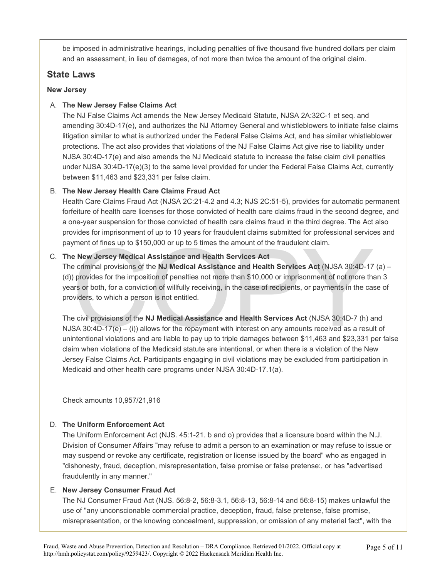be imposed in administrative hearings, including penalties of five thousand five hundred dollars per claim and an assessment, in lieu of damages, of not more than twice the amount of the original claim.

#### **State Laws**

#### **New Jersey**

#### A. **The New Jersey False Claims Act**

The NJ False Claims Act amends the New Jersey Medicaid Statute, NJSA 2A:32C-1 et seq. and amending 30:4D-17(e), and authorizes the NJ Attorney General and whistleblowers to initiate false claims litigation similar to what is authorized under the Federal False Claims Act, and has similar whistleblower protections. The act also provides that violations of the NJ False Claims Act give rise to liability under NJSA 30:4D-17(e) and also amends the NJ Medicaid statute to increase the false claim civil penalties under NJSA 30:4D-17(e)(3) to the same level provided for under the Federal False Claims Act, currently between \$11,463 and \$23,331 per false claim.

#### B. **The New Jersey Health Care Claims Fraud Act**

Health Care Claims Fraud Act (NJSA 2C:21-4.2 and 4.3; NJS 2C:51-5), provides for automatic permanent forfeiture of health care licenses for those convicted of health care claims fraud in the second degree, and a one-year suspension for those convicted of health care claims fraud in the third degree. The Act also provides for imprisonment of up to 10 years for fraudulent claims submitted for professional services and payment of fines up to \$150,000 or up to 5 times the amount of the fraudulent claim.

#### C. **The New Jersey Medical Assistance and Health Services Act**

when of fines up to \$150,000 or up to 5 times the amount of the fraudulent claim.<br>
Ne New Jersey Medical Assistance and Health Services Act<br>
be criminal provisions of the NJ Medical Assistance and Health Services Act (NJS The criminal provisions of the **NJ Medical Assistance and Health Services Act** (NJSA 30:4D-17 (a) – (d)) provides for the imposition of penalties not more than \$10,000 or imprisonment of not more than 3 years or both, for a conviction of willfully receiving, in the case of recipients, or payments in the case of providers, to which a person is not entitled.

The civil provisions of the **NJ Medical Assistance and Health Services Act** (NJSA 30:4D-7 (h) and NJSA 30:4D-17(e) – (i)) allows for the repayment with interest on any amounts received as a result of unintentional violations and are liable to pay up to triple damages between \$11,463 and \$23,331 per false claim when violations of the Medicaid statute are intentional, or when there is a violation of the New Jersey False Claims Act. Participants engaging in civil violations may be excluded from participation in Medicaid and other health care programs under NJSA 30:4D-17.1(a).

Check amounts 10,957/21,916

#### D. **The Uniform Enforcement Act**

The Uniform Enforcement Act (NJS. 45:1-21. b and o) provides that a licensure board within the N.J. Division of Consumer Affairs "may refuse to admit a person to an examination or may refuse to issue or may suspend or revoke any certificate, registration or license issued by the board" who as engaged in "dishonesty, fraud, deception, misrepresentation, false promise or false pretense:, or has "advertised fraudulently in any manner."

#### E. **New Jersey Consumer Fraud Act**

The NJ Consumer Fraud Act (NJS. 56:8-2, 56:8-3.1, 56:8-13, 56:8-14 and 56:8-15) makes unlawful the use of "any unconscionable commercial practice, deception, fraud, false pretense, false promise, misrepresentation, or the knowing concealment, suppression, or omission of any material fact", with the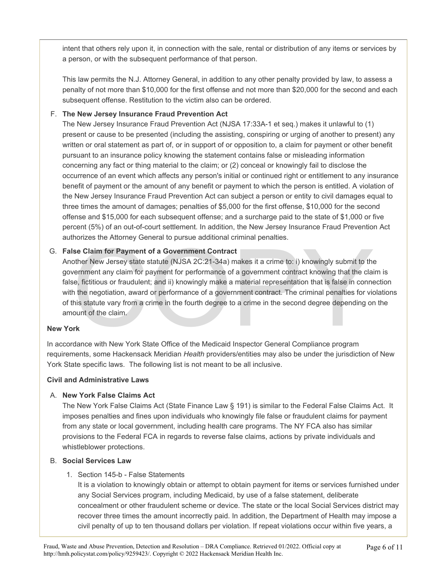intent that others rely upon it, in connection with the sale, rental or distribution of any items or services by a person, or with the subsequent performance of that person.

This law permits the N.J. Attorney General, in addition to any other penalty provided by law, to assess a penalty of not more than \$10,000 for the first offense and not more than \$20,000 for the second and each subsequent offense. Restitution to the victim also can be ordered.

#### F. **The New Jersey Insurance Fraud Prevention Act**

The New Jersey Insurance Fraud Prevention Act (NJSA 17:33A-1 et seq.) makes it unlawful to (1) present or cause to be presented (including the assisting, conspiring or urging of another to present) any written or oral statement as part of, or in support of or opposition to, a claim for payment or other benefit pursuant to an insurance policy knowing the statement contains false or misleading information concerning any fact or thing material to the claim; or (2) conceal or knowingly fail to disclose the occurrence of an event which affects any person's initial or continued right or entitlement to any insurance benefit of payment or the amount of any benefit or payment to which the person is entitled. A violation of the New Jersey Insurance Fraud Prevention Act can subject a person or entity to civil damages equal to three times the amount of damages; penalties of \$5,000 for the first offense, \$10,000 for the second offense and \$15,000 for each subsequent offense; and a surcharge paid to the state of \$1,000 or five percent (5%) of an out-of-court settlement. In addition, the New Jersey Insurance Fraud Prevention Act authorizes the Attorney General to pursue additional criminal penalties.

#### G. **False Claim for Payment of a Government Contract**

Issen as Answer of a Government Contract<br>See Claim for Payment of a Government Contract<br>other New Jersey state statute (NJSA 2C:21-34a) makes it a crime to: i) knowingly submit to the<br>vernment any claim for payment for per Another New Jersey state statute (NJSA 2C:21-34a) makes it a crime to: i) knowingly submit to the government any claim for payment for performance of a government contract knowing that the claim is false, fictitious or fraudulent; and ii) knowingly make a material representation that is false in connection with the negotiation, award or performance of a government contract. The criminal penalties for violations of this statute vary from a crime in the fourth degree to a crime in the second degree depending on the amount of the claim.

#### **New York**

In accordance with New York State Office of the Medicaid Inspector General Compliance program requirements, some Hackensack Meridian *Health* providers/entities may also be under the jurisdiction of New York State specific laws. The following list is not meant to be all inclusive.

#### **Civil and Administrative Laws**

#### A. **New York False Claims Act**

The New York False Claims Act (State Finance Law § 191) is similar to the Federal False Claims Act. It imposes penalties and fines upon individuals who knowingly file false or fraudulent claims for payment from any state or local government, including health care programs. The NY FCA also has similar provisions to the Federal FCA in regards to reverse false claims, actions by private individuals and whistleblower protections.

#### B. **Social Services Law**

#### 1. Section 145-b - False Statements

It is a violation to knowingly obtain or attempt to obtain payment for items or services furnished under any Social Services program, including Medicaid, by use of a false statement, deliberate concealment or other fraudulent scheme or device. The state or the local Social Services district may recover three times the amount incorrectly paid. In addition, the Department of Health may impose a civil penalty of up to ten thousand dollars per violation. If repeat violations occur within five years, a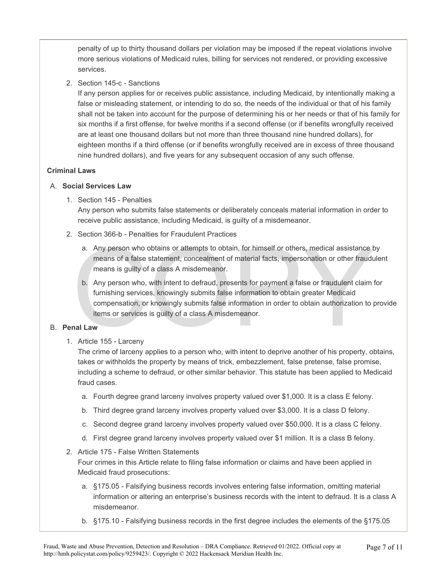penalty of up to thirty thousand dollars per violation may be imposed if the repeat violations involve more serious violations of Medicaid rules, billing for services not rendered, or providing excessive services.

2. Section 145-c - Sanctions

If any person applies for or receives public assistance, including Medicaid, by intentionally making a false or misleading statement, or intending to do so, the needs of the individual or that of his family shall not be taken into account for the purpose of determining his or her needs or that of his family for six months if a first offense, for twelve months if a second offense (or if benefits wrongfully received are at least one thousand dollars but not more than three thousand nine hundred dollars), for eighteen months if a third offense (or if benefits wrongfully received are in excess of three thousand nine hundred dollars), and five years for any subsequent occasion of any such offense.

#### **Criminal Laws**

#### A. **Social Services Law**

1. Section 145 - Penalties

Any person who submits false statements or deliberately conceals material information in order to receive public assistance, including Medicaid, is guilty of a misdemeanor.

- 2. Section 366-b Penalties for Fraudulent Practices
	- a. Any person who obtains or attempts to obtain, for himself or others, medical assistance by means of a false statement, concealment of material facts, impersonation or other fraudulent means is guilty of a class A misdemeanor.
	- Frame and Solutions of a false statement, concealment of material facts, impersonation or other fraudumeans is guilty of a class A misdemeanor.<br>
	b. Any person who, with intent to defraud, presents for payment a false or fr b. Any person who, with intent to defraud, presents for payment a false or fraudulent claim for furnishing services, knowingly submits false information to obtain greater Medicaid compensation, or knowingly submits false information in order to obtain authorization to provide items or services is guilty of a class A misdemeanor.

#### B. **Penal Law**

1. Article 155 - Larceny

The crime of larceny applies to a person who, with intent to deprive another of his property, obtains, takes or withholds the property by means of trick, embezzlement, false pretense, false promise, including a scheme to defraud, or other similar behavior. This statute has been applied to Medicaid fraud cases.

- a. Fourth degree grand larceny involves property valued over \$1,000. It is a class E felony.
- b. Third degree grand larceny involves property valued over \$3,000. It is a class D felony.
- c. Second degree grand larceny involves property valued over \$50,000. It is a class C felony.
- d. First degree grand larceny involves property valued over \$1 million. It is a class B felony.
- 2. Article 175 False Written Statements

Four crimes in this Article relate to filing false information or claims and have been applied in Medicaid fraud prosecutions:

- a. §175.05 Falsifying business records involves entering false information, omitting material information or altering an enterprise's business records with the intent to defraud. It is a class A misdemeanor.
- b. §175.10 Falsifying business records in the first degree includes the elements of the §175.05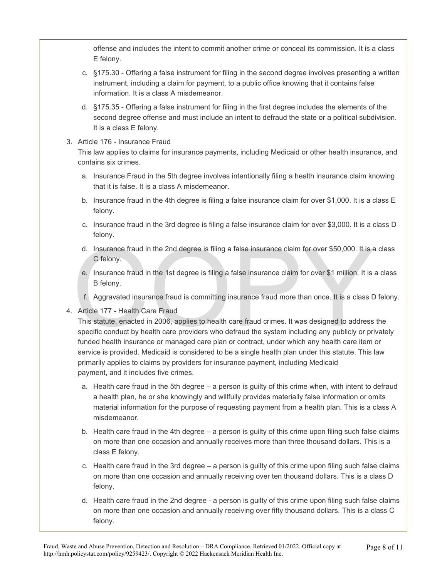offense and includes the intent to commit another crime or conceal its commission. It is a class E felony.

- c. §175.30 Offering a false instrument for filing in the second degree involves presenting a written instrument, including a claim for payment, to a public office knowing that it contains false information. It is a class A misdemeanor.
- d. §175.35 Offering a false instrument for filing in the first degree includes the elements of the second degree offense and must include an intent to defraud the state or a political subdivision. It is a class E felony.
- 3. Article 176 Insurance Fraud

This law applies to claims for insurance payments, including Medicaid or other health insurance, and contains six crimes.

- a. Insurance Fraud in the 5th degree involves intentionally filing a health insurance claim knowing that it is false. It is a class A misdemeanor.
- b. Insurance fraud in the 4th degree is filing a false insurance claim for over \$1,000. It is a class E felony.
- c. Insurance fraud in the 3rd degree is filing a false insurance claim for over \$3,000. It is a class D felony.
- d. Insurance fraud in the 2nd degree is filing a false insurance claim for over \$50,000. It is a class C felony.
- e. Insurance fraud in the 1st degree is filing a false insurance claim for over \$1 million. It is a class B felony.
- f. Aggravated insurance fraud is committing insurance fraud more than once. It is a class D felony.
- 4. Article 177 Health Care Fraud

d. Insurance fraud in the 2nd degree is filing a false insurance claim for over \$50,000. It is a C felony.<br>
e. Insurance fraud in the 1st degree is filing a false insurance claim for over \$1 million. It is<br>
B felony.<br>
f. A This statute, enacted in 2006, applies to health care fraud crimes. It was designed to address the specific conduct by health care providers who defraud the system including any publicly or privately funded health insurance or managed care plan or contract, under which any health care item or service is provided. Medicaid is considered to be a single health plan under this statute. This law primarily applies to claims by providers for insurance payment, including Medicaid payment, and it includes five crimes.

- a. Health care fraud in the 5th degree a person is guilty of this crime when, with intent to defraud a health plan, he or she knowingly and willfully provides materially false information or omits material information for the purpose of requesting payment from a health plan. This is a class A misdemeanor.
- b. Health care fraud in the 4th degree a person is guilty of this crime upon filing such false claims on more than one occasion and annually receives more than three thousand dollars. This is a class E felony.
- c. Health care fraud in the 3rd degree a person is guilty of this crime upon filing such false claims on more than one occasion and annually receiving over ten thousand dollars. This is a class D felony.
- d. Health care fraud in the 2nd degree a person is guilty of this crime upon filing such false claims on more than one occasion and annually receiving over fifty thousand dollars. This is a class C felony.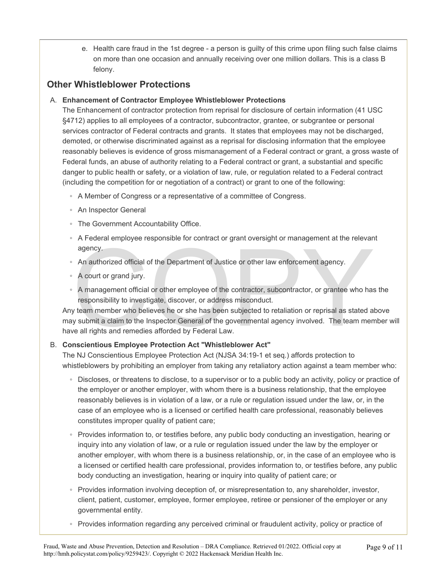e. Health care fraud in the 1st degree - a person is guilty of this crime upon filing such false claims on more than one occasion and annually receiving over one million dollars. This is a class B felony.

### **Other Whistleblower Protections**

#### A. **Enhancement of Contractor Employee Whistleblower Protections**

The Enhancement of contractor protection from reprisal for disclosure of certain information (41 USC §4712) applies to all employees of a contractor, subcontractor, grantee, or subgrantee or personal services contractor of Federal contracts and grants. It states that employees may not be discharged, demoted, or otherwise discriminated against as a reprisal for disclosing information that the employee reasonably believes is evidence of gross mismanagement of a Federal contract or grant, a gross waste of Federal funds, an abuse of authority relating to a Federal contract or grant, a substantial and specific danger to public health or safety, or a violation of law, rule, or regulation related to a Federal contract (including the competition for or negotiation of a contract) or grant to one of the following:

- A Member of Congress or a representative of a committee of Congress.
- An Inspector General
- The Government Accountability Office.
- A Federal employee responsible for contract or grant oversight or management at the relevant agency.
- An authorized official of the Department of Justice or other law enforcement agency.
- A court or grand jury.
- A management official or other employee of the contractor, subcontractor, or grantee who has the responsibility to investigate, discover, or address misconduct.

An authorized official of the Department of Justice or other law enforcement agency.<br>An authorized official of the Department of Justice or other law enforcement agency.<br>A court or grand jury.<br>A management official or othe Any team member who believes he or she has been subjected to retaliation or reprisal as stated above may submit a claim to the Inspector General of the governmental agency involved. The team member will have all rights and remedies afforded by Federal Law.

#### B. **Conscientious Employee Protection Act "Whistleblower Act"**

The NJ Conscientious Employee Protection Act (NJSA 34:19-1 et seq.) affords protection to whistleblowers by prohibiting an employer from taking any retaliatory action against a team member who:

- Discloses, or threatens to disclose, to a supervisor or to a public body an activity, policy or practice of the employer or another employer, with whom there is a business relationship, that the employee reasonably believes is in violation of a law, or a rule or regulation issued under the law, or, in the case of an employee who is a licensed or certified health care professional, reasonably believes constitutes improper quality of patient care;
- Provides information to, or testifies before, any public body conducting an investigation, hearing or inquiry into any violation of law, or a rule or regulation issued under the law by the employer or another employer, with whom there is a business relationship, or, in the case of an employee who is a licensed or certified health care professional, provides information to, or testifies before, any public body conducting an investigation, hearing or inquiry into quality of patient care; or
- Provides information involving deception of, or misrepresentation to, any shareholder, investor, client, patient, customer, employee, former employee, retiree or pensioner of the employer or any governmental entity.
- Provides information regarding any perceived criminal or fraudulent activity, policy or practice of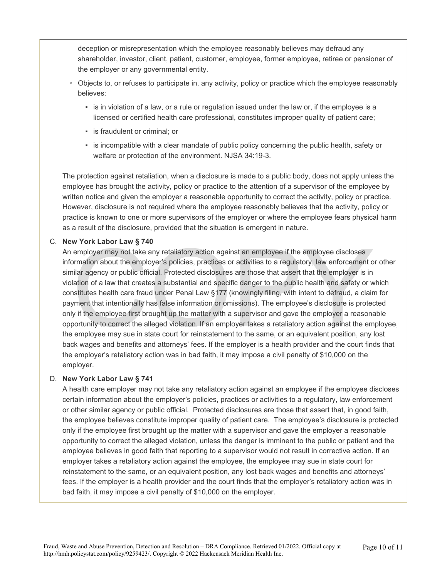deception or misrepresentation which the employee reasonably believes may defraud any shareholder, investor, client, patient, customer, employee, former employee, retiree or pensioner of the employer or any governmental entity.

- Objects to, or refuses to participate in, any activity, policy or practice which the employee reasonably believes:
	- is in violation of a law, or a rule or regulation issued under the law or, if the employee is a licensed or certified health care professional, constitutes improper quality of patient care;
	- is fraudulent or criminal; or
	- is incompatible with a clear mandate of public policy concerning the public health, safety or welfare or protection of the environment. NJSA 34:19-3.

The protection against retaliation, when a disclosure is made to a public body, does not apply unless the employee has brought the activity, policy or practice to the attention of a supervisor of the employee by written notice and given the employer a reasonable opportunity to correct the activity, policy or practice. However, disclosure is not required where the employee reasonably believes that the activity, policy or practice is known to one or more supervisors of the employer or where the employee fears physical harm as a result of the disclosure, provided that the situation is emergent in nature.

#### C. **New York Labor Law § 740**

w York Labor Law § 740<br>employer may not take any retaliatory action against an employee if the employee discloses<br>ormation about the employer's policies, practices or activities to a regulatory, law enforcement o<br>illar age An employer may not take any retaliatory action against an employee if the employee discloses information about the employer's policies, practices or activities to a regulatory, law enforcement or other similar agency or public official. Protected disclosures are those that assert that the employer is in violation of a law that creates a substantial and specific danger to the public health and safety or which constitutes health care fraud under Penal Law §177 (knowingly filing, with intent to defraud, a claim for payment that intentionally has false information or omissions). The employee's disclosure is protected only if the employee first brought up the matter with a supervisor and gave the employer a reasonable opportunity to correct the alleged violation. If an employer takes a retaliatory action against the employee, the employee may sue in state court for reinstatement to the same, or an equivalent position, any lost back wages and benefits and attorneys' fees. If the employer is a health provider and the court finds that the employer's retaliatory action was in bad faith, it may impose a civil penalty of \$10,000 on the employer.

#### D. **New York Labor Law § 741**

A health care employer may not take any retaliatory action against an employee if the employee discloses certain information about the employer's policies, practices or activities to a regulatory, law enforcement or other similar agency or public official. Protected disclosures are those that assert that, in good faith, the employee believes constitute improper quality of patient care. The employee's disclosure is protected only if the employee first brought up the matter with a supervisor and gave the employer a reasonable opportunity to correct the alleged violation, unless the danger is imminent to the public or patient and the employee believes in good faith that reporting to a supervisor would not result in corrective action. If an employer takes a retaliatory action against the employee, the employee may sue in state court for reinstatement to the same, or an equivalent position, any lost back wages and benefits and attorneys' fees. If the employer is a health provider and the court finds that the employer's retaliatory action was in bad faith, it may impose a civil penalty of \$10,000 on the employer.